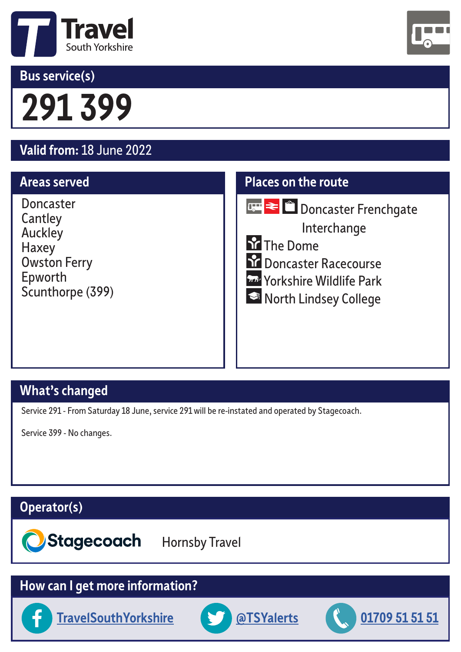

### **Bus service(s)**



# **291 399**

## **Valid from:** 18 June 2022

#### **Areas served**

Doncaster **Cantley** Auckley Haxey Owston Ferry Epworth Scunthorpe (399)

#### **Places on the route**



**Doncaster Frenchgate** 

Interchange

**So The Dome** 

- **Schools** Doncaster Racecourse
- **Lev** Yorkshire Wildlife Park
- North Lindsey College

#### **What's changed**

Service 291 - From Saturday 18 June, service 291 will be re-instated and operated by Stagecoach.

Service 399 - No changes.

#### **Operator(s)**

Stagecoach Hornsby Travel

#### **How can I get more information?**





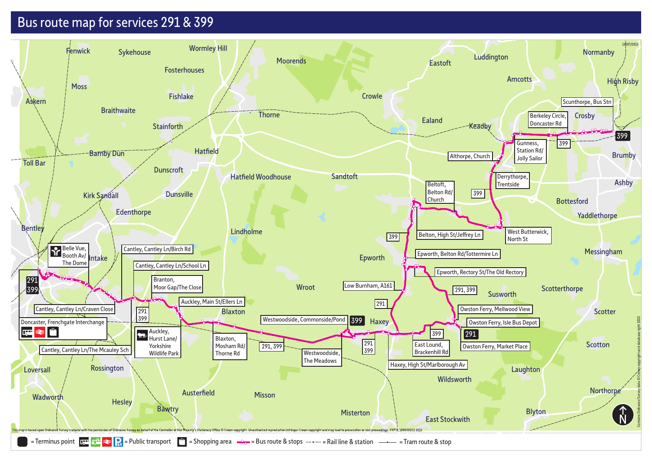### Bus route map for services 291 & 399

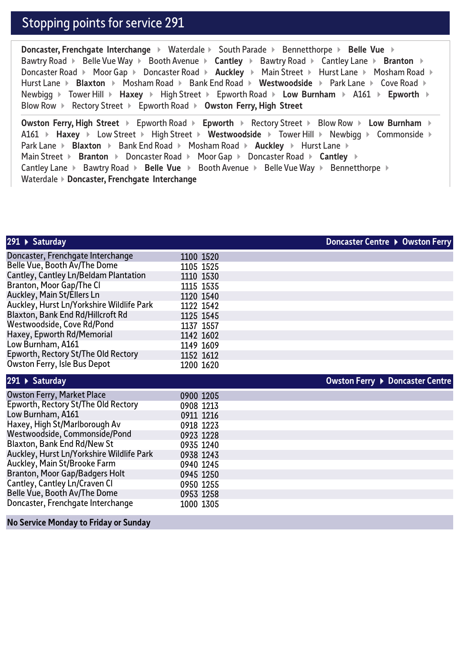#### Stopping points for service 291

**Doncaster, Frenchgate Interchange > Waterdale > South Parade > Bennetthorpe > Belle Vue >** Bawtry Road **Eally Vue Way Figure Accide Avenue <b>Cantley Figure X** Cantley Lane **Figure 3** Branton **Figure** Doncaster Road ▶ Moor Gap ▶ Doncaster Road ▶ Auckley ▶ Main Street ▶ Hurst Lane ▶ Mosham Road ▶ Hurst Lane **▶** Blaxton ▶ Mosham Road ▶ Bank End Road ▶ Westwoodside ▶ Park Lane ▶ Cove Road ▶ Newbigg **▶** Tower Hill ▶ Haxey ▶ High Street ▶ Epworth Road ▶ Low Burnham ▶ A161 ▶ Epworth ▶ Blow Row Rectory Street Epworth Road **Owston Ferry, High Street** 

**Owston Ferry, High Street ▶ Epworth Road ▶ Epworth ▶ Rectory Street ▶ Blow Row ▶ Low Burnham ▶** A161 **Haxey** Low Street **High Street Xides Westwoodside** Tower Hill Xidewbigg Xidesmonside Xides Park Lane **Example 3 Blaxton 3 Bank End Road 3 Mosham Road <b>Auckley 3 Hurst Lane**  $\triangleright$ Main Street **Examber 3** Doncaster Road **Moor Gap F** Doncaster Road **F** Cantley **Example** Cantley Lane  $\triangleright$  Bawtry Road  $\triangleright$  Belle Vue  $\triangleright$  Booth Avenue  $\triangleright$  Belle Vue Way  $\triangleright$  Bennetthorpe  $\triangleright$ Waterdale **Doncaster, Frenchgate Interchange** 

| 291 ▶ Saturday                            |           | Doncaster Centre ▶ Owston Ferry |
|-------------------------------------------|-----------|---------------------------------|
| Doncaster, Frenchgate Interchange         | 1100 1520 |                                 |
| Belle Vue, Booth Av/The Dome              | 1105 1525 |                                 |
| Cantley, Cantley Ln/Beldam Plantation     | 1110 1530 |                                 |
| Branton, Moor Gap/The Cl                  | 1115 1535 |                                 |
| Auckley, Main St/Ellers Ln                | 1120 1540 |                                 |
| Auckley, Hurst Ln/Yorkshire Wildlife Park | 1122 1542 |                                 |
| Blaxton, Bank End Rd/Hillcroft Rd         | 1125 1545 |                                 |
| Westwoodside, Cove Rd/Pond                | 1137 1557 |                                 |
| Haxey, Epworth Rd/Memorial                | 1142 1602 |                                 |
| Low Burnham, A161                         | 1149 1609 |                                 |
| Epworth, Rectory St/The Old Rectory       | 1152 1612 |                                 |
| <b>Owston Ferry, Isle Bus Depot</b>       | 1200 1620 |                                 |
| 291 ▶ Saturday                            |           | Owston Ferry ▶ Doncaster Centre |
| <b>Owston Ferry, Market Place</b>         | 0900 1205 |                                 |
| Epworth, Rectory St/The Old Rectory       | 0908 1213 |                                 |
| Low Burnham, A161                         | 0911 1216 |                                 |
| Haxey, High St/Marlborough Av             | 0918 1223 |                                 |
| Westwoodside, Commonside/Pond             | 0923 1228 |                                 |
| Blaxton, Bank End Rd/New St               | 0935 1240 |                                 |
| Auckley, Hurst Ln/Yorkshire Wildlife Park | 0938 1243 |                                 |
| Auckley, Main St/Brooke Farm              | 0940 1245 |                                 |
| <b>Branton, Moor Gap/Badgers Holt</b>     | 0945 1250 |                                 |
| Cantley, Cantley Ln/Craven Cl             | 0950 1255 |                                 |
| Belle Vue, Booth Av/The Dome              | 0953 1258 |                                 |
| Doncaster, Frenchgate Interchange         | 1000 1305 |                                 |

**No Service Monday to Friday or Sunday**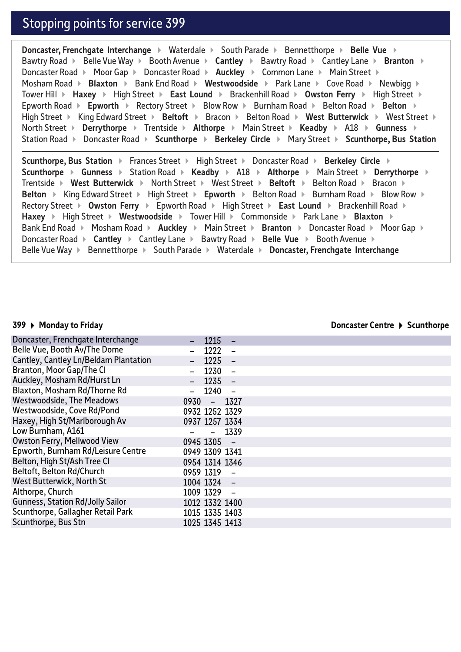#### Stopping points for service 399

**Doncaster, Frenchgate Interchange**  $\rightarrow$  Waterdale  $\rightarrow$  South Parade  $\rightarrow$  Bennetthorpe  $\rightarrow$  Belle Vue  $\rightarrow$ Bawtry Road **EDEL Belle Vue Way F** Booth Avenue **F** Cantley **F** Bawtry Road F Cantley Lane **F** Branton F Doncaster Road  $\triangleright$  Moor Gap  $\triangleright$  Doncaster Road  $\triangleright$  **Auckley**  $\triangleright$  Common Lane  $\triangleright$  Main Street  $\triangleright$ Mosham Road **Example 3 Bank End Road <b>Westwoodside Fark Lane Figure Road Figure 2 Bank** Newbigg **Figure 2** Tower Hill **Faxey Follo High Street Follo East Lound Farackenhill Road Follo Street Follo High Street Follo High Street** Epworth Road **Epworth >** Rectory Street **>** Blow Row > Burnham Road > Belton Road > Belton > High Street  $\triangleright$  King Edward Street  $\triangleright$  Beltoft  $\triangleright$  Bracon  $\triangleright$  Belton Road  $\triangleright$  West Butterwick  $\triangleright$  West Street  $\triangleright$ North Street **>** Derrythorpe > Trentside > Althorpe > Main Street > Keadby > A18 > Gunness > Station Road Doncaster Road **Scunthorpe Berkeley Circle**  Mary Street **Scunthorpe, Bus Station** 

**Scunthorpe, Bus Station > Frances Street > High Street > Doncaster Road > Berkeley Circle > Scunthorpe**  $\triangleright$  **Gunness**  $\triangleright$  Station Road  $\triangleright$  **Keadby**  $\triangleright$  A18  $\triangleright$  **Althorpe**  $\triangleright$  Main Street  $\triangleright$  **Derrythorpe**  $\triangleright$ Trentside **Mest Butterwick • North Street • West Street • Beltoft • Belton Road • Bracon • Belton ▶ King Edward Street ▶ High Street ▶ Epworth ▶ Belton Road ▶ Burnham Road ▶ Blow Row ▶** Rectory Street **Owston Ferry**  Epworth Road High Street **East Lound**  Brackenhill Road **Haxey ▶ High Street ▶ Westwoodside ▶ Tower Hill ▶ Commonside ▶ Park Lane ▶ Blaxton ▶** Bank End Road **Mosham Road <b>Auckley Main Street <b>Branton Concaster Road** Moor Gap \ Doncaster Road **▶ Cantley ▶ Cantley Lane ▶ Bawtry Road ▶ Belle Vue ▶ Booth Avenue ▶** Belle Vue Way ▶ Bennetthorpe ▶ South Parade ▶ Waterdale ▶ Doncaster, Frenchgate Interchange

#### **399 Monday to Friday**

**Doncaster Centre ▶ Scunthorpe** 

| Doncaster, Frenchgate Interchange       |                | $-1215$   |         |  |
|-----------------------------------------|----------------|-----------|---------|--|
| Belle Vue, Booth Av/The Dome            |                | 1222      |         |  |
| Cantley, Cantley Ln/Beldam Plantation   |                | $-1225 -$ |         |  |
| Branton, Moor Gap/The Cl                |                | $1230 -$  |         |  |
| Auckley, Mosham Rd/Hurst Ln             |                | $1235 -$  |         |  |
| Blaxton, Mosham Rd/Thorne Rd            |                | $1240 -$  |         |  |
| <b>Westwoodside, The Meadows</b>        | $0930 - 1327$  |           |         |  |
| Westwoodside, Cove Rd/Pond              | 0932 1252 1329 |           |         |  |
| Haxey, High St/Marlborough Av           | 0937 1257 1334 |           |         |  |
| Low Burnham, A161                       |                |           | $-1339$ |  |
| <b>Owston Ferry, Mellwood View</b>      | 0945 1305 -    |           |         |  |
| Epworth, Burnham Rd/Leisure Centre      | 0949 1309 1341 |           |         |  |
| Belton, High St/Ash Tree Cl             | 0954 1314 1346 |           |         |  |
| Beltoft, Belton Rd/Church               | 0959 1319 -    |           |         |  |
| <b>West Butterwick, North St</b>        | 1004 1324 -    |           |         |  |
| Althorpe, Church                        | 1009 1329 -    |           |         |  |
| <b>Gunness, Station Rd/Jolly Sailor</b> | 1012 1332 1400 |           |         |  |
| Scunthorpe, Gallagher Retail Park       | 1015 1335 1403 |           |         |  |
| Scunthorpe, Bus Stn                     | 1025 1345 1413 |           |         |  |
|                                         |                |           |         |  |